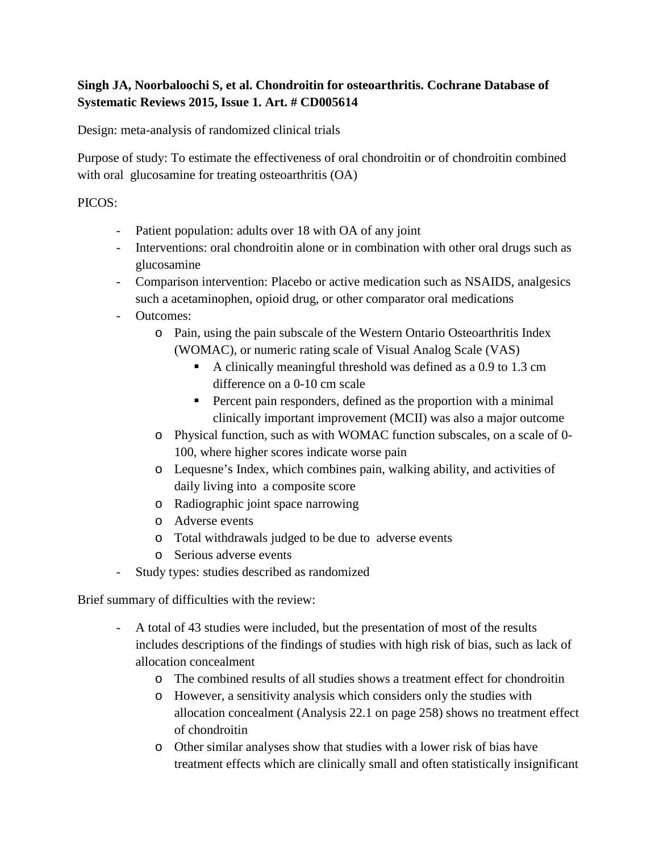## **Singh JA, Noorbaloochi S, et al. Chondroitin for osteoarthritis. Cochrane Database of Systematic Reviews 2015, Issue 1. Art. # CD005614**

Design: meta-analysis of randomized clinical trials

Purpose of study: To estimate the effectiveness of oral chondroitin or of chondroitin combined with oral glucosamine for treating osteoarthritis (OA)

## PICOS:

- Patient population: adults over 18 with OA of any joint
- Interventions: oral chondroitin alone or in combination with other oral drugs such as glucosamine
- Comparison intervention: Placebo or active medication such as NSAIDS, analgesics such a acetaminophen, opioid drug, or other comparator oral medications
- Outcomes:
	- o Pain, using the pain subscale of the Western Ontario Osteoarthritis Index (WOMAC), or numeric rating scale of Visual Analog Scale (VAS)
		- A clinically meaningful threshold was defined as a 0.9 to 1.3 cm difference on a 0-10 cm scale
		- Percent pain responders, defined as the proportion with a minimal clinically important improvement (MCII) was also a major outcome
	- o Physical function, such as with WOMAC function subscales, on a scale of 0- 100, where higher scores indicate worse pain
	- o Lequesne's Index, which combines pain, walking ability, and activities of daily living into a composite score
	- o Radiographic joint space narrowing
	- o Adverse events
	- o Total withdrawals judged to be due to adverse events
	- o Serious adverse events
- Study types: studies described as randomized

Brief summary of difficulties with the review:

- A total of 43 studies were included, but the presentation of most of the results includes descriptions of the findings of studies with high risk of bias, such as lack of allocation concealment
	- o The combined results of all studies shows a treatment effect for chondroitin
	- o However, a sensitivity analysis which considers only the studies with allocation concealment (Analysis 22.1 on page 258) shows no treatment effect of chondroitin
	- o Other similar analyses show that studies with a lower risk of bias have treatment effects which are clinically small and often statistically insignificant